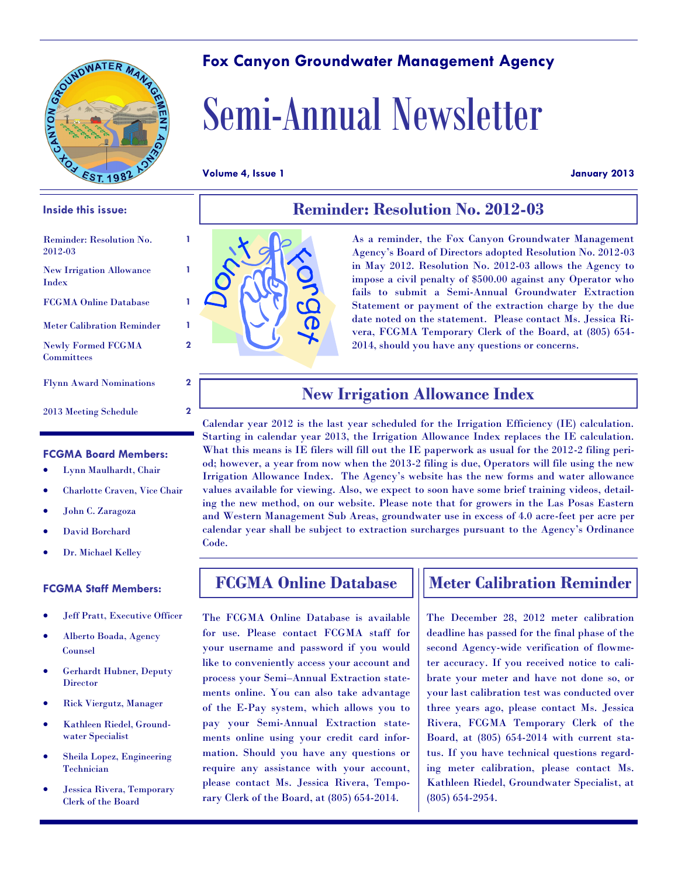# **CALL AND WATER /** EST. 1982

#### **Fox Canyon Groundwater Management Agency**

# Semi-Annual Newsletter

**Volume 4, Issue 1 January 2013**

#### **Inside this issue:**

| Reminder: Resolution No.<br>2012-03               |   |
|---------------------------------------------------|---|
| <b>New Irrigation Allowance</b><br>$_{\rm Index}$ |   |
| <b>FCGMA Online Database</b>                      |   |
| <b>Meter Calibration Reminder</b>                 | 1 |
| <b>Newly Formed FCGMA</b><br>Committees           | 2 |
| <b>Flynn Award Nominations</b>                    | 2 |
| 2013 Meeting Schedule                             | 2 |

#### **FCGMA Board Members:**

- Lynn Maulhardt, Chair
- Charlotte Craven, Vice Chair
- John C. Zaragoza
- David Borchard
- Dr. Michael Kelley

#### **FCGMA Staff Members:**

- Jeff Pratt, Executive Officer
- Alberto Boada, Agency Counsel
- Gerhardt Hubner, Deputy **Director**
- Rick Viergutz, Manager
- Kathleen Riedel, Groundwater Specialist
- Sheila Lopez, Engineering Technician
- Jessica Rivera, Temporary Clerk of the Board



#### **Reminder: Resolution No. 2012-03**

As a reminder, the Fox Canyon Groundwater Management Agency's Board of Directors adopted Resolution No. 2012-03 in May 2012. Resolution No. 2012-03 allows the Agency to impose a civil penalty of \$500.00 against any Operator who fails to submit a Semi-Annual Groundwater Extraction Statement or payment of the extraction charge by the due date noted on the statement. Please contact Ms. Jessica Rivera, FCGMA Temporary Clerk of the Board, at (805) 654- 2014, should you have any questions or concerns.

# **New Irrigation Allowance Index**

Calendar year 2012 is the last year scheduled for the Irrigation Efficiency (IE) calculation. Starting in calendar year 2013, the Irrigation Allowance Index replaces the IE calculation. What this means is IE filers will fill out the IE paperwork as usual for the 2012-2 filing period; however, a year from now when the 2013-2 filing is due, Operators will file using the new Irrigation Allowance Index. The Agency's website has the new forms and water allowance values available for viewing. Also, we expect to soon have some brief training videos, detailing the new method, on our website. Please note that for growers in the Las Posas Eastern and Western Management Sub Areas, groundwater use in excess of 4.0 acre-feet per acre per calendar year shall be subject to extraction surcharges pursuant to the Agency's Ordinance Code.

#### **FCGMA Online Database**

The FCGMA Online Database is available for use. Please contact FCGMA staff for your username and password if you would like to conveniently access your account and process your Semi–Annual Extraction statements online. You can also take advantage of the E-Pay system, which allows you to pay your Semi-Annual Extraction statements online using your credit card information. Should you have any questions or require any assistance with your account, please contact Ms. Jessica Rivera, Temporary Clerk of the Board, at (805) 654-2014.

### **Meter Calibration Reminder**

The December 28, 2012 meter calibration deadline has passed for the final phase of the second Agency-wide verification of flowmeter accuracy. If you received notice to calibrate your meter and have not done so, or your last calibration test was conducted over three years ago, please contact Ms. Jessica Rivera, FCGMA Temporary Clerk of the Board, at (805) 654-2014 with current status. If you have technical questions regarding meter calibration, please contact Ms. Kathleen Riedel, Groundwater Specialist, at (805) 654-2954.